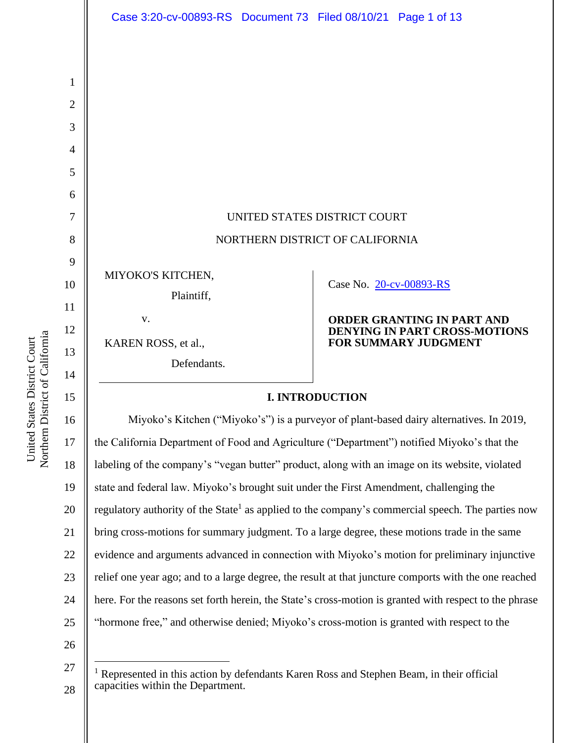| Case 3:20-cv-00893-RS Document 73 Filed 08/10/21 Page 1 of 13 |                                 |                                                                                                   |  |
|---------------------------------------------------------------|---------------------------------|---------------------------------------------------------------------------------------------------|--|
|                                                               |                                 |                                                                                                   |  |
|                                                               |                                 |                                                                                                   |  |
|                                                               |                                 |                                                                                                   |  |
|                                                               |                                 |                                                                                                   |  |
|                                                               |                                 |                                                                                                   |  |
|                                                               |                                 |                                                                                                   |  |
|                                                               |                                 |                                                                                                   |  |
|                                                               |                                 |                                                                                                   |  |
|                                                               | UNITED STATES DISTRICT COURT    |                                                                                                   |  |
|                                                               | NORTHERN DISTRICT OF CALIFORNIA |                                                                                                   |  |
|                                                               |                                 |                                                                                                   |  |
| MIYOKO'S KITCHEN,                                             |                                 | Case No. 20-cv-00893-RS                                                                           |  |
| Plaintiff,                                                    |                                 |                                                                                                   |  |
| V.                                                            |                                 | <b>ORDER GRANTING IN PART AND</b><br>DENYING IN PART CROSS-MOTIONS<br><b>FOR SUMMARY JUDGMENT</b> |  |
| KAREN ROSS, et al.,                                           |                                 |                                                                                                   |  |
| Defendants.                                                   |                                 |                                                                                                   |  |
|                                                               | <b>I. INTRODUCTION</b>          |                                                                                                   |  |
|                                                               |                                 |                                                                                                   |  |

16 17 18 19 20 21 22 23 24 25 Miyoko's Kitchen ("Miyoko's") is a purveyor of plant-based dairy alternatives. In 2019, the California Department of Food and Agriculture ("Department") notified Miyoko's that the labeling of the company's "vegan butter" product, along with an image on its website, violated state and federal law. Miyoko's brought suit under the First Amendment, challenging the regulatory authority of the State<sup>1</sup> as applied to the company's commercial speech. The parties now bring cross-motions for summary judgment. To a large degree, these motions trade in the same evidence and arguments advanced in connection with Miyoko's motion for preliminary injunctive relief one year ago; and to a large degree, the result at that juncture comports with the one reached here. For the reasons set forth herein, the State's cross-motion is granted with respect to the phrase "hormone free," and otherwise denied; Miyoko's cross-motion is granted with respect to the

26

27

28

Northern District of California Northern District of California United States District Court United States District Court

1

2

3

4

5

6

7

8

9

10

11

12

13

14

<sup>&</sup>lt;sup>1</sup> Represented in this action by defendants Karen Ross and Stephen Beam, in their official capacities within the Department.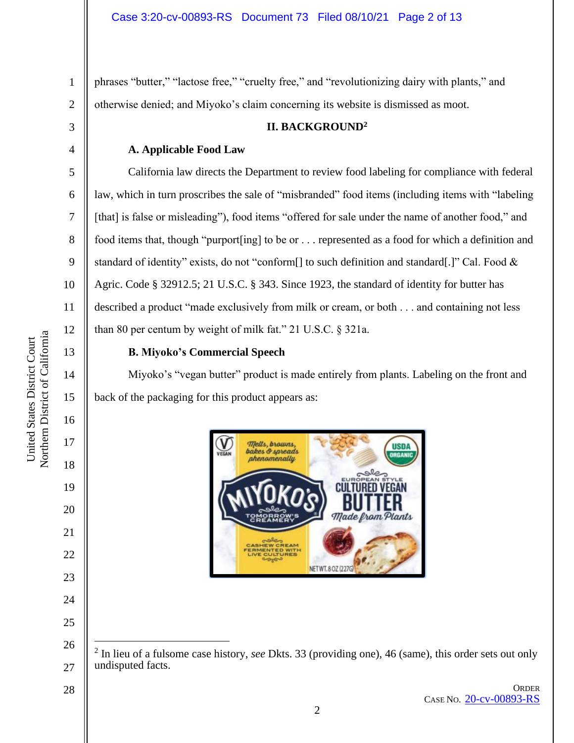phrases "butter," "lactose free," "cruelty free," and "revolutionizing dairy with plants," and otherwise denied; and Miyoko's claim concerning its website is dismissed as moot.

# **II. BACKGROUND<sup>2</sup>**

## **A. Applicable Food Law**

California law directs the Department to review food labeling for compliance with federal law, which in turn proscribes the sale of "misbranded" food items (including items with "labeling [that] is false or misleading"), food items "offered for sale under the name of another food," and food items that, though "purport[ing] to be or . . . represented as a food for which a definition and standard of identity" exists, do not "conform[] to such definition and standard[.]" Cal. Food & Agric. Code § 32912.5; 21 U.S.C. § 343. Since 1923, the standard of identity for butter has described a product "made exclusively from milk or cream, or both . . . and containing not less than 80 per centum by weight of milk fat." 21 U.S.C. § 321a.

## 13

14

15

16

17

18

19

20

21

22

23

24

25

1

2

3

4

5

6

7

8

9

10

11

12

## **B. Miyoko's Commercial Speech**

Miyoko's "vegan butter" product is made entirely from plants. Labeling on the front and back of the packaging for this product appears as:



28

**ORDER** CASE NO. [20-cv-00893-RS](https://ecf.cand.uscourts.gov/cgi-bin/DktRpt.pl?354989)

<sup>26</sup> 27 2 In lieu of a fulsome case history, *see* Dkts. 33 (providing one), 46 (same), this order sets out only undisputed facts.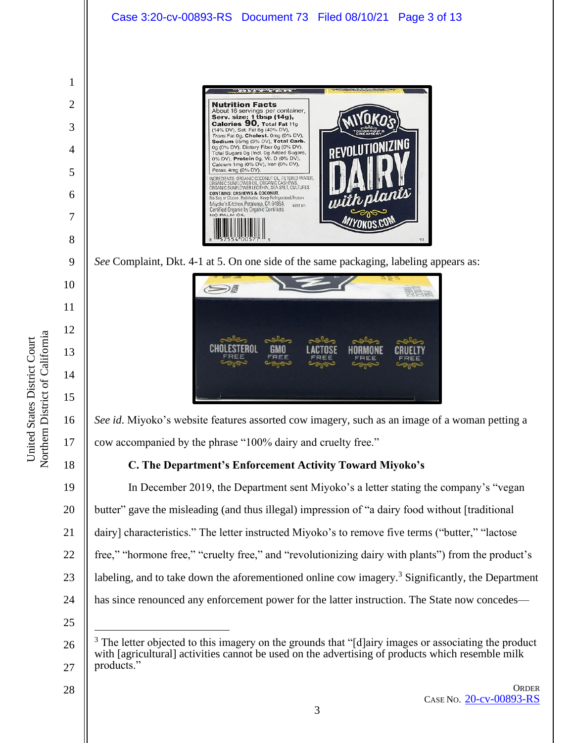

<sup>26</sup> 27 The letter objected to this imagery on the grounds that "[d]airy images or associating the product with [agricultural] activities cannot be used on the advertising of products which resemble milk products."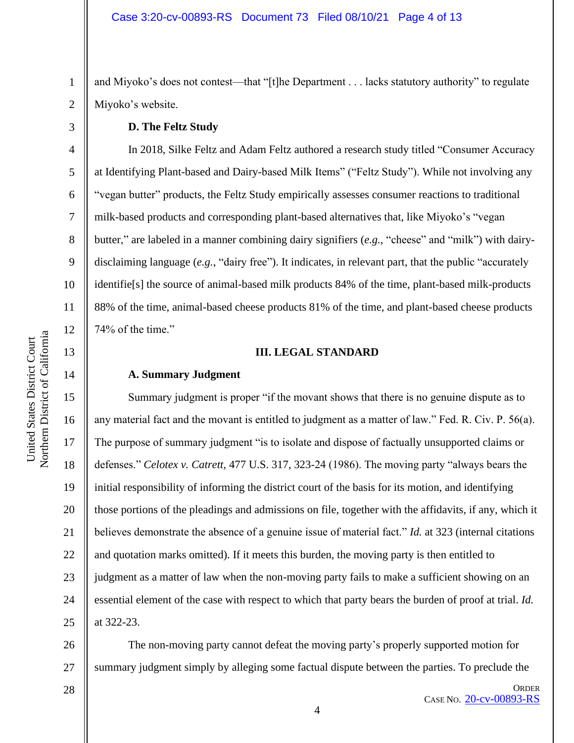and Miyoko's does not contest—that "[t]he Department . . . lacks statutory authority" to regulate Miyoko's website.

## **D. The Feltz Study**

In 2018, Silke Feltz and Adam Feltz authored a research study titled "Consumer Accuracy at Identifying Plant-based and Dairy-based Milk Items" ("Feltz Study"). While not involving any "vegan butter" products, the Feltz Study empirically assesses consumer reactions to traditional milk-based products and corresponding plant-based alternatives that, like Miyoko's "vegan butter," are labeled in a manner combining dairy signifiers (*e.g.*, "cheese" and "milk") with dairydisclaiming language (*e.g.*, "dairy free"). It indicates, in relevant part, that the public "accurately identifie[s] the source of animal-based milk products 84% of the time, plant-based milk-products 88% of the time, animal-based cheese products 81% of the time, and plant-based cheese products 74% of the time."

## **III. LEGAL STANDARD**

## **A. Summary Judgment**

16 20 22 24 Summary judgment is proper "if the movant shows that there is no genuine dispute as to any material fact and the movant is entitled to judgment as a matter of law." Fed. R. Civ. P. 56(a). The purpose of summary judgment "is to isolate and dispose of factually unsupported claims or defenses." *Celotex v. Catrett,* 477 U.S. 317, 323-24 (1986). The moving party "always bears the initial responsibility of informing the district court of the basis for its motion, and identifying those portions of the pleadings and admissions on file, together with the affidavits, if any, which it believes demonstrate the absence of a genuine issue of material fact." *Id.* at 323 (internal citations and quotation marks omitted). If it meets this burden, the moving party is then entitled to judgment as a matter of law when the non-moving party fails to make a sufficient showing on an essential element of the case with respect to which that party bears the burden of proof at trial. *Id.*  at 322-23.

26 27 The non-moving party cannot defeat the moving party's properly supported motion for summary judgment simply by alleging some factual dispute between the parties. To preclude the

28

ORDER CASE NO. [20-cv-00893-RS](https://ecf.cand.uscourts.gov/cgi-bin/DktRpt.pl?354989)

1

2

3

4

5

6

7

8

9

10

11

12

13

14

15

17

18

19

21

23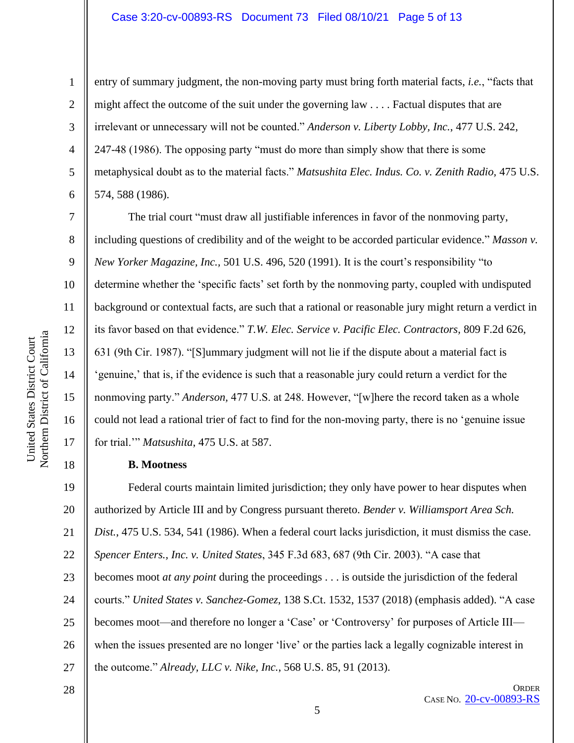#### Case 3:20-cv-00893-RS Document 73 Filed 08/10/21 Page 5 of 13

6

7

8

9

10

11

12

13

14

15

16

17

18

28

1

entry of summary judgment, the non-moving party must bring forth material facts, *i.e.*, "facts that might affect the outcome of the suit under the governing law . . . . Factual disputes that are irrelevant or unnecessary will not be counted." *Anderson v. Liberty Lobby, Inc.*, 477 U.S. 242, 247-48 (1986). The opposing party "must do more than simply show that there is some metaphysical doubt as to the material facts." *Matsushita Elec. Indus. Co. v. Zenith Radio,* 475 U.S. 574, 588 (1986).

The trial court "must draw all justifiable inferences in favor of the nonmoving party, including questions of credibility and of the weight to be accorded particular evidence." *Masson v. New Yorker Magazine, Inc.,* 501 U.S. 496, 520 (1991). It is the court's responsibility "to determine whether the 'specific facts' set forth by the nonmoving party, coupled with undisputed background or contextual facts, are such that a rational or reasonable jury might return a verdict in its favor based on that evidence." *T.W. Elec. Service v. Pacific Elec. Contractors,* 809 F.2d 626, 631 (9th Cir. 1987). "[S]ummary judgment will not lie if the dispute about a material fact is 'genuine,' that is, if the evidence is such that a reasonable jury could return a verdict for the nonmoving party." *Anderson,* 477 U.S. at 248. However, "[w]here the record taken as a whole could not lead a rational trier of fact to find for the non-moving party, there is no 'genuine issue for trial.'" *Matsushita*, 475 U.S. at 587.

#### **B. Mootness**

19 20 21 22 23 24 25 26 27 Federal courts maintain limited jurisdiction; they only have power to hear disputes when authorized by Article III and by Congress pursuant thereto. *Bender v. Williamsport Area Sch. Dist.*, 475 U.S. 534, 541 (1986). When a federal court lacks jurisdiction, it must dismiss the case. *Spencer Enters., Inc. v. United States*, 345 F.3d 683, 687 (9th Cir. 2003). "A case that becomes moot *at any point* during the proceedings . . . is outside the jurisdiction of the federal courts." *United States v. Sanchez-Gomez*, 138 S.Ct. 1532, 1537 (2018) (emphasis added). "A case becomes moot—and therefore no longer a 'Case' or 'Controversy' for purposes of Article III when the issues presented are no longer 'live' or the parties lack a legally cognizable interest in the outcome." *Already, LLC v. Nike, Inc.*, 568 U.S. 85, 91 (2013).

5

Northern District of California Northern District of California United States District Court United States District Court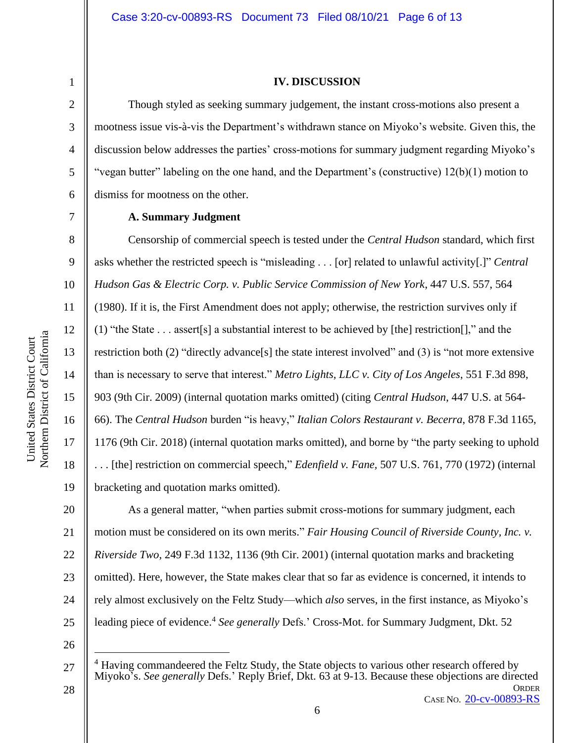7

8

9

#### **IV. DISCUSSION**

Though styled as seeking summary judgement, the instant cross-motions also present a mootness issue vis-à-vis the Department's withdrawn stance on Miyoko's website. Given this, the discussion below addresses the parties' cross-motions for summary judgment regarding Miyoko's "vegan butter" labeling on the one hand, and the Department's (constructive) 12(b)(1) motion to dismiss for mootness on the other.

10 11 12 Northern District of California Northern District of California 13 14 15 16 17 18

United States District Court

United States District Court

## **A. Summary Judgment**

Censorship of commercial speech is tested under the *Central Hudson* standard, which first asks whether the restricted speech is "misleading . . . [or] related to unlawful activity[.]" *Central Hudson Gas & Electric Corp. v. Public Service Commission of New York*, 447 U.S. 557, 564 (1980). If it is, the First Amendment does not apply; otherwise, the restriction survives only if (1) "the State . . . assert[s] a substantial interest to be achieved by [the] restriction[]," and the restriction both (2) "directly advance[s] the state interest involved" and (3) is "not more extensive than is necessary to serve that interest." *Metro Lights, LLC v. City of Los Angeles*, 551 F.3d 898, 903 (9th Cir. 2009) (internal quotation marks omitted) (citing *Central Hudson*, 447 U.S. at 564- 66). The *Central Hudson* burden "is heavy," *Italian Colors Restaurant v. Becerra*, 878 F.3d 1165, 1176 (9th Cir. 2018) (internal quotation marks omitted), and borne by "the party seeking to uphold . . . [the] restriction on commercial speech," *Edenfield v. Fane,* 507 U.S. 761, 770 (1972) (internal bracketing and quotation marks omitted).

20 21 22 23 24 25 As a general matter, "when parties submit cross-motions for summary judgment, each motion must be considered on its own merits." *Fair Housing Council of Riverside County, Inc. v. Riverside Two*, 249 F.3d 1132, 1136 (9th Cir. 2001) (internal quotation marks and bracketing omitted). Here, however, the State makes clear that so far as evidence is concerned, it intends to rely almost exclusively on the Feltz Study—which *also* serves, in the first instance, as Miyoko's leading piece of evidence.<sup>4</sup> See generally Defs.' Cross-Mot. for Summary Judgment, Dkt. 52

26

**ORDER** 27 28 <sup>4</sup> Having commandeered the Feltz Study, the State objects to various other research offered by Miyoko's. *See generally* Defs.' Reply Brief, Dkt. 63 at 9-13. Because these objections are directed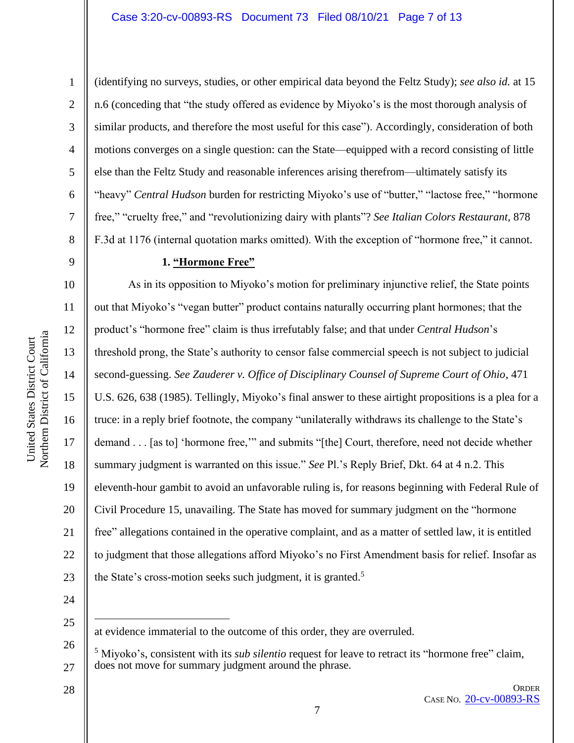Northern District of California Northern District of California United States District Court United States District Court

1

2

3

4

5

6

7

8

9

10

11

12

13

14

15

16

17

18

19

20

21

22

23

(identifying no surveys, studies, or other empirical data beyond the Feltz Study); *see also id.* at 15 n.6 (conceding that "the study offered as evidence by Miyoko's is the most thorough analysis of similar products, and therefore the most useful for this case"). Accordingly, consideration of both motions converges on a single question: can the State—equipped with a record consisting of little else than the Feltz Study and reasonable inferences arising therefrom—ultimately satisfy its "heavy" *Central Hudson* burden for restricting Miyoko's use of "butter," "lactose free," "hormone free," "cruelty free," and "revolutionizing dairy with plants"? *See Italian Colors Restaurant,* 878 F.3d at 1176 (internal quotation marks omitted). With the exception of "hormone free," it cannot.

## **1. "Hormone Free"**

As in its opposition to Miyoko's motion for preliminary injunctive relief, the State points out that Miyoko's "vegan butter" product contains naturally occurring plant hormones; that the product's "hormone free" claim is thus irrefutably false; and that under *Central Hudson*'s threshold prong, the State's authority to censor false commercial speech is not subject to judicial second-guessing. *See Zauderer v. Office of Disciplinary Counsel of Supreme Court of Ohio*, 471 U.S. 626, 638 (1985). Tellingly, Miyoko's final answer to these airtight propositions is a plea for a truce: in a reply brief footnote, the company "unilaterally withdraws its challenge to the State's demand . . . [as to] 'hormone free,'" and submits "[the] Court, therefore, need not decide whether summary judgment is warranted on this issue." *See* Pl.'s Reply Brief, Dkt. 64 at 4 n.2. This eleventh-hour gambit to avoid an unfavorable ruling is, for reasons beginning with Federal Rule of Civil Procedure 15, unavailing. The State has moved for summary judgment on the "hormone free" allegations contained in the operative complaint, and as a matter of settled law, it is entitled to judgment that those allegations afford Miyoko's no First Amendment basis for relief. Insofar as the State's cross-motion seeks such judgment, it is granted.<sup>5</sup>

24

25

26

27

at evidence immaterial to the outcome of this order, they are overruled.

<sup>5</sup> Miyoko's, consistent with its *sub silentio* request for leave to retract its "hormone free" claim, does not move for summary judgment around the phrase.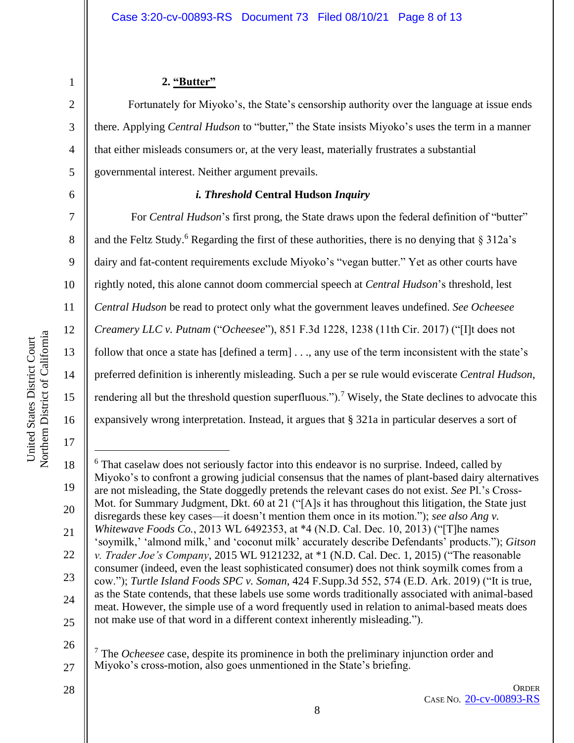2

3

4

5

6

7

8

9

10

11

12

13

14

15

16

17

## **2. "Butter"**

Fortunately for Miyoko's, the State's censorship authority over the language at issue ends there. Applying *Central Hudson* to "butter," the State insists Miyoko's uses the term in a manner that either misleads consumers or, at the very least, materially frustrates a substantial governmental interest. Neither argument prevails.

## *i. Threshold* **Central Hudson** *Inquiry*

For *Central Hudson*'s first prong, the State draws upon the federal definition of "butter" and the Feltz Study.<sup>6</sup> Regarding the first of these authorities, there is no denying that  $\S 312a$ 's dairy and fat-content requirements exclude Miyoko's "vegan butter." Yet as other courts have rightly noted, this alone cannot doom commercial speech at *Central Hudson*'s threshold, lest *Central Hudson* be read to protect only what the government leaves undefined. *See Ocheesee Creamery LLC v. Putnam* ("*Ocheesee*"), 851 F.3d 1228, 1238 (11th Cir. 2017) ("[I]t does not follow that once a state has [defined a term] . . ., any use of the term inconsistent with the state's preferred definition is inherently misleading. Such a per se rule would eviscerate *Central Hudson*, rendering all but the threshold question superfluous.").<sup>7</sup> Wisely, the State declines to advocate this expansively wrong interpretation. Instead, it argues that § 321a in particular deserves a sort of

<sup>7</sup> The *Ocheesee* case, despite its prominence in both the preliminary injunction order and Miyoko's cross-motion, also goes unmentioned in the State's briefing.

28

26

<sup>18</sup> 19 20 21 22 23 24 25 <sup>6</sup> That caselaw does not seriously factor into this endeavor is no surprise. Indeed, called by Miyoko's to confront a growing judicial consensus that the names of plant-based dairy alternatives are not misleading, the State doggedly pretends the relevant cases do not exist. *See* Pl.'s Cross-Mot. for Summary Judgment, Dkt. 60 at 21 ("[A]s it has throughout this litigation, the State just disregards these key cases—it doesn't mention them once in its motion."); *see also Ang v*. *Whitewave Foods Co.*, 2013 WL 6492353, at \*4 (N.D. Cal. Dec. 10, 2013) ("[T]he names 'soymilk,' 'almond milk,' and 'coconut milk' accurately describe Defendants' products."); *Gitson v. Trader Joe's Company*, 2015 WL 9121232, at \*1 (N.D. Cal. Dec. 1, 2015) ("The reasonable consumer (indeed, even the least sophisticated consumer) does not think soymilk comes from a cow."); *Turtle Island Foods SPC v. Soman*, 424 F.Supp.3d 552, 574 (E.D. Ark. 2019) ("It is true, as the State contends, that these labels use some words traditionally associated with animal-based meat. However, the simple use of a word frequently used in relation to animal-based meats does not make use of that word in a different context inherently misleading.").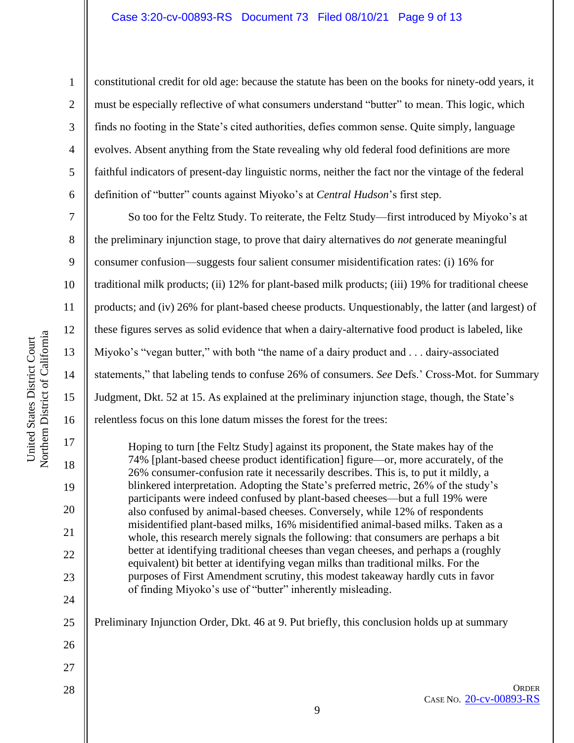2

3

4

5

6

constitutional credit for old age: because the statute has been on the books for ninety-odd years, it must be especially reflective of what consumers understand "butter" to mean. This logic, which finds no footing in the State's cited authorities, defies common sense. Quite simply, language evolves. Absent anything from the State revealing why old federal food definitions are more faithful indicators of present-day linguistic norms, neither the fact nor the vintage of the federal definition of "butter" counts against Miyoko's at *Central Hudson*'s first step.

7 8 9 10 11 12 13 14 15 16 So too for the Feltz Study. To reiterate, the Feltz Study—first introduced by Miyoko's at the preliminary injunction stage, to prove that dairy alternatives do *not* generate meaningful consumer confusion—suggests four salient consumer misidentification rates: (i) 16% for traditional milk products; (ii) 12% for plant-based milk products; (iii) 19% for traditional cheese products; and (iv) 26% for plant-based cheese products. Unquestionably, the latter (and largest) of these figures serves as solid evidence that when a dairy-alternative food product is labeled, like Miyoko's "vegan butter," with both "the name of a dairy product and . . . dairy-associated statements," that labeling tends to confuse 26% of consumers. *See* Defs.' Cross-Mot. for Summary Judgment, Dkt. 52 at 15. As explained at the preliminary injunction stage, though, the State's relentless focus on this lone datum misses the forest for the trees:

Hoping to turn [the Feltz Study] against its proponent, the State makes hay of the 74% [plant-based cheese product identification] figure—or, more accurately, of the 26% consumer-confusion rate it necessarily describes. This is, to put it mildly, a blinkered interpretation. Adopting the State's preferred metric, 26% of the study's participants were indeed confused by plant-based cheeses—but a full 19% were also confused by animal-based cheeses. Conversely, while 12% of respondents misidentified plant-based milks, 16% misidentified animal-based milks. Taken as a whole, this research merely signals the following: that consumers are perhaps a bit better at identifying traditional cheeses than vegan cheeses, and perhaps a (roughly equivalent) bit better at identifying vegan milks than traditional milks. For the purposes of First Amendment scrutiny, this modest takeaway hardly cuts in favor of finding Miyoko's use of "butter" inherently misleading.

25 Preliminary Injunction Order, Dkt. 46 at 9. Put briefly, this conclusion holds up at summary

17

18

19

20

21

22

23

24

26

27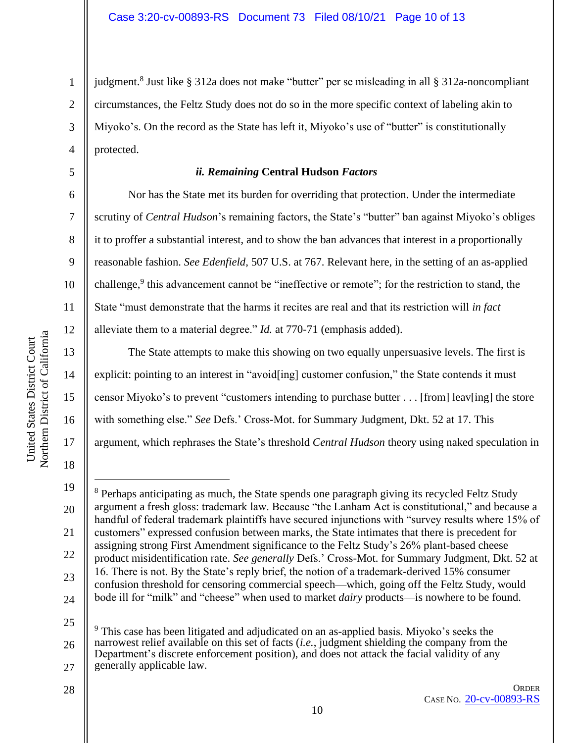judgment.<sup>8</sup> Just like § 312a does not make "butter" per se misleading in all § 312a-noncompliant circumstances, the Feltz Study does not do so in the more specific context of labeling akin to Miyoko's. On the record as the State has left it, Miyoko's use of "butter" is constitutionally protected.

## *ii. Remaining* **Central Hudson** *Factors*

Nor has the State met its burden for overriding that protection. Under the intermediate scrutiny of *Central Hudson*'s remaining factors, the State's "butter" ban against Miyoko's obliges it to proffer a substantial interest, and to show the ban advances that interest in a proportionally reasonable fashion. *See Edenfield,* 507 U.S. at 767. Relevant here, in the setting of an as-applied challenge,<sup>9</sup> this advancement cannot be "ineffective or remote"; for the restriction to stand, the State "must demonstrate that the harms it recites are real and that its restriction will *in fact*  alleviate them to a material degree." *Id.* at 770-71 (emphasis added).

The State attempts to make this showing on two equally unpersuasive levels. The first is explicit: pointing to an interest in "avoid[ing] customer confusion," the State contends it must censor Miyoko's to prevent "customers intending to purchase butter . . . [from] leav[ing] the store with something else." *See* Defs.' Cross-Mot. for Summary Judgment, Dkt. 52 at 17. This argument, which rephrases the State's threshold *Central Hudson* theory using naked speculation in

1

2

3

4

5

6

7

8

9

10

11

12

13

14

15

16

17

18

28

**ORDER** CASE NO. [20-cv-00893-RS](https://ecf.cand.uscourts.gov/cgi-bin/DktRpt.pl?354989)

<sup>19</sup> 20 21 22 23 24 <sup>8</sup> Perhaps anticipating as much, the State spends one paragraph giving its recycled Feltz Study argument a fresh gloss: trademark law. Because "the Lanham Act is constitutional," and because a handful of federal trademark plaintiffs have secured injunctions with "survey results where 15% of customers" expressed confusion between marks, the State intimates that there is precedent for assigning strong First Amendment significance to the Feltz Study's 26% plant-based cheese product misidentification rate. *See generally* Defs.' Cross-Mot. for Summary Judgment, Dkt. 52 at 16. There is not. By the State's reply brief, the notion of a trademark-derived 15% consumer confusion threshold for censoring commercial speech—which, going off the Feltz Study, would bode ill for "milk" and "cheese" when used to market *dairy* products—is nowhere to be found.

<sup>25</sup> 26 27 <sup>9</sup> This case has been litigated and adjudicated on an as-applied basis. Miyoko's seeks the narrowest relief available on this set of facts (*i.e.*, judgment shielding the company from the Department's discrete enforcement position), and does not attack the facial validity of any generally applicable law.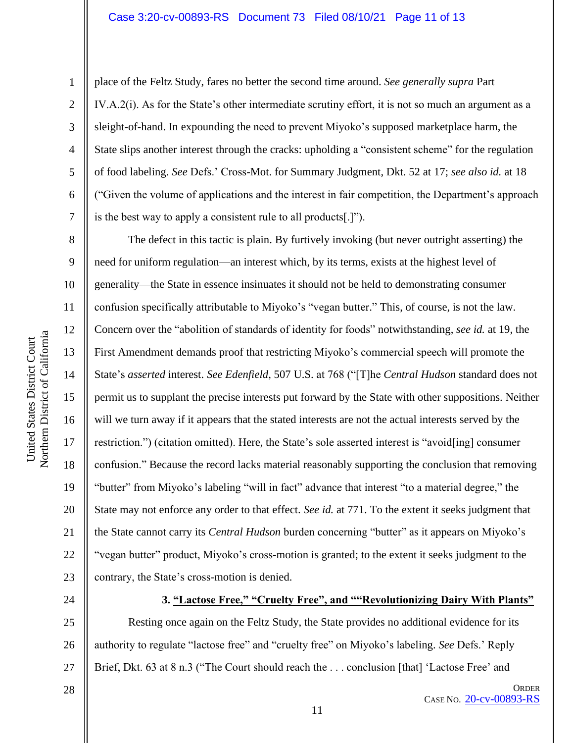## Case 3:20-cv-00893-RS Document 73 Filed 08/10/21 Page 11 of 13

1

2

3

4

5

6

7

8

9

10

11

12

13

14

15

16

17

18

19

20

21

22

23

place of the Feltz Study, fares no better the second time around. *See generally supra* Part IV.A.2(i). As for the State's other intermediate scrutiny effort, it is not so much an argument as a sleight-of-hand. In expounding the need to prevent Miyoko's supposed marketplace harm, the State slips another interest through the cracks: upholding a "consistent scheme" for the regulation of food labeling. *See* Defs.' Cross-Mot. for Summary Judgment, Dkt. 52 at 17; *see also id.* at 18 ("Given the volume of applications and the interest in fair competition, the Department's approach is the best way to apply a consistent rule to all products[.]").

The defect in this tactic is plain. By furtively invoking (but never outright asserting) the need for uniform regulation—an interest which, by its terms, exists at the highest level of generality—the State in essence insinuates it should not be held to demonstrating consumer confusion specifically attributable to Miyoko's "vegan butter." This, of course, is not the law. Concern over the "abolition of standards of identity for foods" notwithstanding, *see id.* at 19, the First Amendment demands proof that restricting Miyoko's commercial speech will promote the State's *asserted* interest. *See Edenfield*, 507 U.S. at 768 ("[T]he *Central Hudson* standard does not permit us to supplant the precise interests put forward by the State with other suppositions. Neither will we turn away if it appears that the stated interests are not the actual interests served by the restriction.") (citation omitted). Here, the State's sole asserted interest is "avoid[ing] consumer confusion." Because the record lacks material reasonably supporting the conclusion that removing "butter" from Miyoko's labeling "will in fact" advance that interest "to a material degree," the State may not enforce any order to that effect. *See id.* at 771. To the extent it seeks judgment that the State cannot carry its *Central Hudson* burden concerning "butter" as it appears on Miyoko's "vegan butter" product, Miyoko's cross-motion is granted; to the extent it seeks judgment to the contrary, the State's cross-motion is denied.

24

#### **3. "Lactose Free," "Cruelty Free", and ""Revolutionizing Dairy With Plants"**

25 26 27 Resting once again on the Feltz Study, the State provides no additional evidence for its authority to regulate "lactose free" and "cruelty free" on Miyoko's labeling. *See* Defs.' Reply Brief, Dkt. 63 at 8 n.3 ("The Court should reach the . . . conclusion [that] 'Lactose Free' and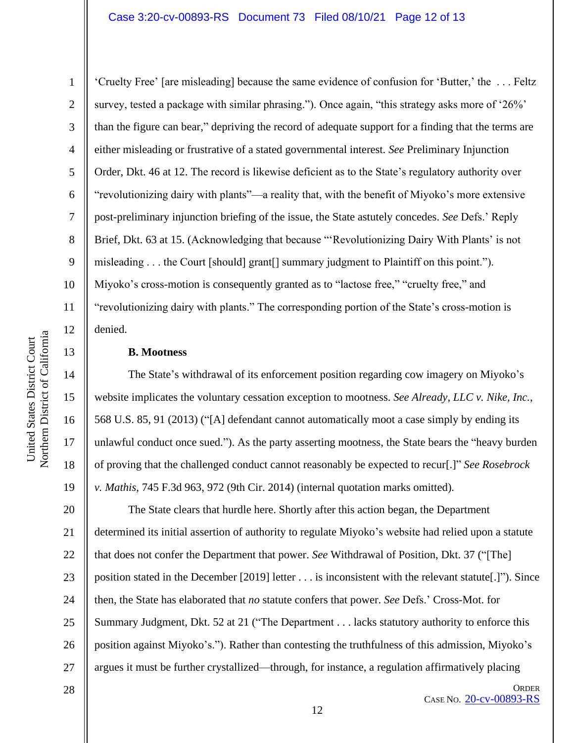## Case 3:20-cv-00893-RS Document 73 Filed 08/10/21 Page 12 of 13

10 11 12 Northern District of California Northern District of California United States District Court 13 14 15 16 17

United States District Court

1

2

3

4

5

6

7

8

9

18

19

'Cruelty Free' [are misleading] because the same evidence of confusion for 'Butter,' the . . . Feltz survey, tested a package with similar phrasing."). Once again, "this strategy asks more of '26%' than the figure can bear," depriving the record of adequate support for a finding that the terms are either misleading or frustrative of a stated governmental interest. *See* Preliminary Injunction Order, Dkt. 46 at 12. The record is likewise deficient as to the State's regulatory authority over "revolutionizing dairy with plants"—a reality that, with the benefit of Miyoko's more extensive post-preliminary injunction briefing of the issue, the State astutely concedes. *See* Defs.' Reply Brief, Dkt. 63 at 15. (Acknowledging that because "'Revolutionizing Dairy With Plants' is not misleading . . . the Court [should] grant[] summary judgment to Plaintiff on this point."). Miyoko's cross-motion is consequently granted as to "lactose free," "cruelty free," and "revolutionizing dairy with plants." The corresponding portion of the State's cross-motion is denied.

#### **B. Mootness**

The State's withdrawal of its enforcement position regarding cow imagery on Miyoko's website implicates the voluntary cessation exception to mootness. *See Already, LLC v. Nike, Inc.*, 568 U.S. 85, 91 (2013) ("[A] defendant cannot automatically moot a case simply by ending its unlawful conduct once sued."). As the party asserting mootness, the State bears the "heavy burden of proving that the challenged conduct cannot reasonably be expected to recur[.]" *See Rosebrock v. Mathis*, 745 F.3d 963, 972 (9th Cir. 2014) (internal quotation marks omitted).

20 21 22 23 24 25 26 27 The State clears that hurdle here. Shortly after this action began, the Department determined its initial assertion of authority to regulate Miyoko's website had relied upon a statute that does not confer the Department that power. *See* Withdrawal of Position, Dkt. 37 ("[The] position stated in the December [2019] letter . . . is inconsistent with the relevant statute[.]"). Since then, the State has elaborated that *no* statute confers that power. *See* Defs.' Cross-Mot. for Summary Judgment, Dkt. 52 at 21 ("The Department . . . lacks statutory authority to enforce this position against Miyoko's."). Rather than contesting the truthfulness of this admission, Miyoko's argues it must be further crystallized—through, for instance, a regulation affirmatively placing